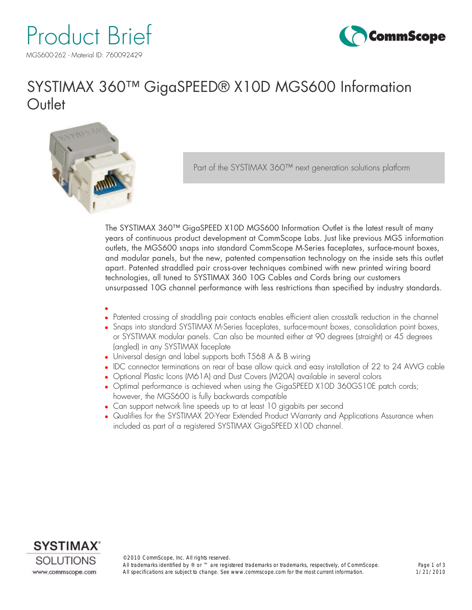



## SYSTIMAX 360™ GigaSPEED® X10D MGS600 Information **Outlet**



Part of the SYSTIMAX 360™ next generation solutions platform

The SYSTIMAX 360™ GigaSPEED X10D MGS600 Information Outlet is the latest result of many years of continuous product development at CommScope Labs. Just like previous MGS information outlets, the MGS600 snaps into standard CommScope M-Series faceplates, surface-mount boxes, and modular panels, but the new, patented compensation technology on the inside sets this outlet apart. Patented straddled pair cross-over techniques combined with new printed wiring board technologies, all tuned to SYSTIMAX 360 10G Cables and Cords bring our customers unsurpassed 10G channel performance with less restrictions than specified by industry standards.

- $\bullet$ <sup>l</sup> Patented crossing of straddling pair contacts enables efficient alien crosstalk reduction in the channel
- Snaps into standard SYSTIMAX M-Series faceplates, surface-mount boxes, consolidation point boxes, or SYSTIMAX modular panels. Can also be mounted either at 90 degrees (straight) or 45 degrees (angled) in any SYSTIMAX faceplate
- Universal design and label supports both T568 A & B wiring
- IDC connector terminations on rear of base allow quick and easy installation of 22 to 24 AWG cable
- Optional Plastic Icons (M61A) and Dust Covers (M20A) available in several colors
- Optimal performance is achieved when using the GigaSPEED X10D 360GS10E patch cords; however, the MGS600 is fully backwards compatible
- Can support network line speeds up to at least 10 gigabits per second
- Qualifies for the SYSTIMAX 20-Year Extended Product Warranty and Applications Assurance when included as part of a registered SYSTIMAX GigaSPEED X10D channel.

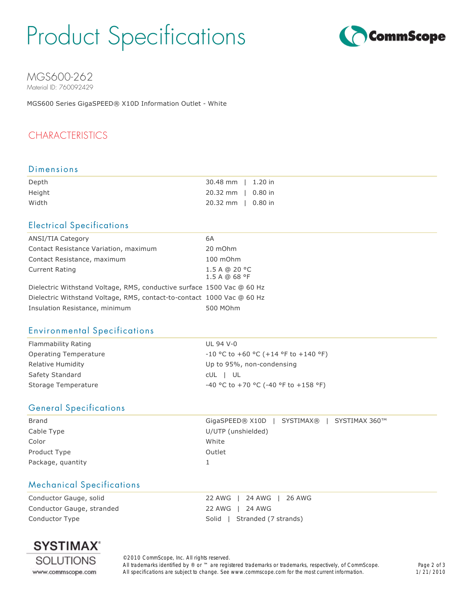# Product Specifications



#### MGS600-262 Material ID: 760092429

MGS600 Series GigaSPEED® X10D Information Outlet - White

### CHARACTERISTICS

#### Dimensions

| Depth  | 30.48 mm   1.20 in           |  |
|--------|------------------------------|--|
| Height | $20.32 \text{ mm}$   0.80 in |  |
| Width  | $20.32 \text{ mm}$   0.80 in |  |

#### Electrical Specifications

| <b>ANSI/TIA Category</b>                                               | 6A                            |
|------------------------------------------------------------------------|-------------------------------|
| Contact Resistance Variation, maximum                                  | 20 mOhm                       |
| Contact Resistance, maximum                                            | 100 mOhm                      |
| <b>Current Rating</b>                                                  | 1.5 A @ 20 °C<br>1.5A @ 68 °F |
| Dielectric Withstand Voltage, RMS, conductive surface 1500 Vac @ 60 Hz |                               |
| Dielectric Withstand Voltage, RMS, contact-to-contact 1000 Vac @ 60 Hz |                               |
| Insulation Resistance, minimum                                         | 500 MOhm                      |
|                                                                        |                               |

#### Environmental Specifications

| Flammability Rating   | UL 94 V-0                              |
|-----------------------|----------------------------------------|
| Operating Temperature | $-10$ °C to +60 °C (+14 °F to +140 °F) |
| Relative Humidity     | Up to 95%, non-condensing              |
| Safety Standard       | CUL I UL                               |
| Storage Temperature   | $-40$ °C to +70 °C (-40 °F to +158 °F) |

#### General Specifications

| Brand             | GigaSPEED® X10D   SYSTIMAX®   SYSTIMAX 360™ |
|-------------------|---------------------------------------------|
| Cable Type        | U/UTP (unshielded)                          |
| Color             | White                                       |
| Product Type      | Outlet                                      |
| Package, guantity |                                             |

#### Mechanical Specifications

Conductor Gauge, stranded 22 AWG | 24 AWG Conductor Type **Solid** | Stranded (7 strands)

Conductor Gauge, solid 22 AWG | 24 AWG | 26 AWG



©2010 CommScope, Inc. All rights reserved. All trademarks identified by ® or ™ are registered trademarks or trademarks, respectively, of CommScope. All specifications are subject to change. See www.commscope.com for the most current information.